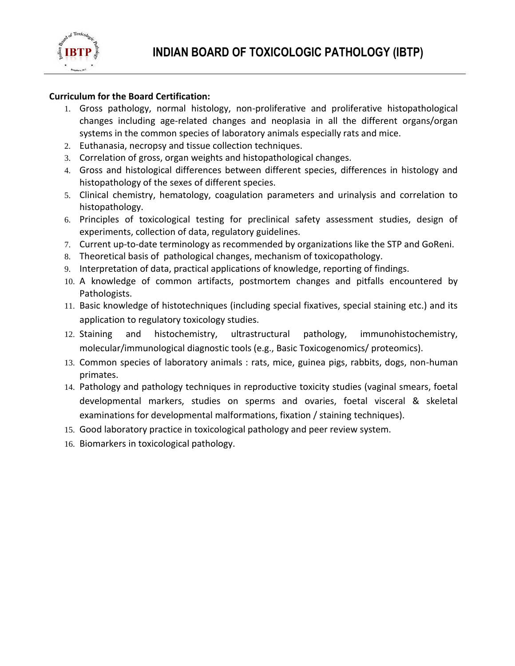

## **Curriculum for the Board Certification:**

- 1. Gross pathology, normal histology, non-proliferative and proliferative histopathological changes including age-related changes and neoplasia in all the different organs/organ systems in the common species of laboratory animals especially rats and mice.
- 2. Euthanasia, necropsy and tissue collection techniques.
- 3. Correlation of gross, organ weights and histopathological changes.
- 4. Gross and histological differences between different species, differences in histology and histopathology of the sexes of different species.
- 5. Clinical chemistry, hematology, coagulation parameters and urinalysis and correlation to histopathology.
- 6. Principles of toxicological testing for preclinical safety assessment studies, design of experiments, collection of data, regulatory guidelines.
- 7. Current up-to-date terminology as recommended by organizations like the STP and GoReni.
- 8. Theoretical basis of pathological changes, mechanism of toxicopathology.
- 9. Interpretation of data, practical applications of knowledge, reporting of findings.
- 10. A knowledge of common artifacts, postmortem changes and pitfalls encountered by Pathologists.
- 11. Basic knowledge of histotechniques (including special fixatives, special staining etc.) and its application to regulatory toxicology studies.
- 12. Staining and histochemistry, ultrastructural pathology, immunohistochemistry, molecular/immunological diagnostic tools (e.g., Basic Toxicogenomics/ proteomics).
- 13. Common species of laboratory animals : rats, mice, guinea pigs, rabbits, dogs, non-human primates.
- 14. Pathology and pathology techniques in reproductive toxicity studies (vaginal smears, foetal developmental markers, studies on sperms and ovaries, foetal visceral & skeletal examinations for developmental malformations, fixation / staining techniques).
- 15. Good laboratory practice in toxicological pathology and peer review system.
- 16. Biomarkers in toxicological pathology.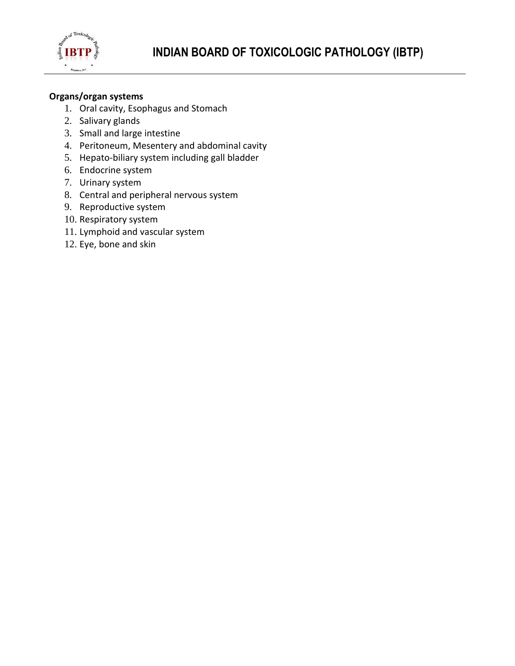

### **Organs/organ systems**

- 1. Oral cavity, Esophagus and Stomach
- 2. Salivary glands
- 3. Small and large intestine
- 4. Peritoneum, Mesentery and abdominal cavity
- 5. Hepato-biliary system including gall bladder
- 6. Endocrine system
- 7. Urinary system
- 8. Central and peripheral nervous system
- 9. Reproductive system
- 10. Respiratory system
- 11. Lymphoid and vascular system
- 12. Eye, bone and skin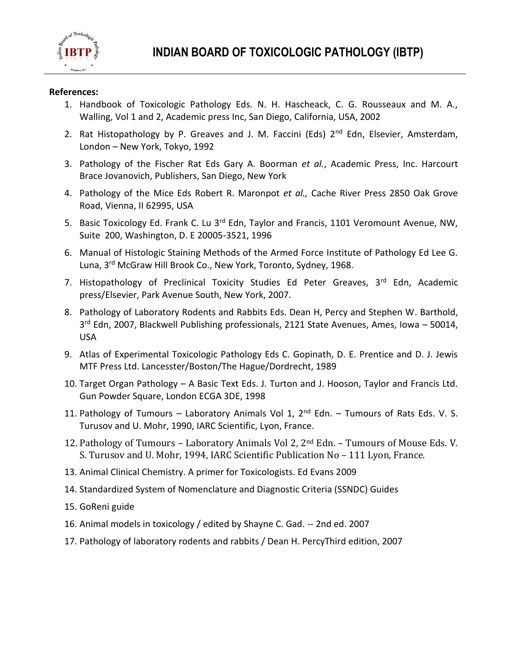

#### **References:**

- 1. Handbook of Toxicologic Pathology Eds. N. H. Hascheack, C. G. Rousseaux and M. A., Walling, Vol 1 and 2, Academic press Inc, San Diego, California, USA, 2002
- 2. Rat Histopathology by P. Greaves and J. M. Faccini (Eds) 2<sup>nd</sup> Edn, Elsevier, Amsterdam, London – New York, Tokyo, 1992
- 3. Pathology of the Fischer Rat Eds Gary A. Boorman *et al.*, Academic Press, Inc. Harcourt Brace Jovanovich, Publishers, San Diego, New York
- 4. Pathology of the Mice Eds Robert R. Maronpot *et al.,* Cache River Press 2850 Oak Grove Road, Vienna, II 62995, USA
- 5. Basic Toxicology Ed. Frank C. Lu 3<sup>rd</sup> Edn, Taylor and Francis, 1101 Veromount Avenue, NW, Suite 200, Washington, D. E 20005-3521, 1996
- 6. Manual of Histologic Staining Methods of the Armed Force Institute of Pathology Ed Lee G. Luna, 3<sup>rd</sup> McGraw Hill Brook Co., New York, Toronto, Sydney, 1968.
- 7. Histopathology of Preclinical Toxicity Studies Ed Peter Greaves, 3<sup>rd</sup> Edn, Academic press/Elsevier, Park Avenue South, New York, 2007.
- 8. Pathology of Laboratory Rodents and Rabbits Eds. Dean H, Percy and Stephen W. Barthold, 3 rd Edn, 2007, Blackwell Publishing professionals, 2121 State Avenues, Ames, Iowa – 50014, USA
- 9. Atlas of Experimental Toxicologic Pathology Eds C. Gopinath, D. E. Prentice and D. J. Jewis MTF Press Ltd. Lancesster/Boston/The Hague/Dordrecht, 1989
- 10. Target Organ Pathology A Basic Text Eds. J. Turton and J. Hooson, Taylor and Francis Ltd. Gun Powder Square, London ECGA 3DE, 1998
- 11. Pathology of Tumours Laboratory Animals Vol 1,  $2^{nd}$  Edn. Tumours of Rats Eds. V. S. Turusov and U. Mohr, 1990, IARC Scientific, Lyon, France.
- 12. Pathology of Tumours Laboratory Animals Vol 2,  $2^{nd}$  Edn. Tumours of Mouse Eds. V. S. Turusov and U. Mohr, 1994, IARC Scientific Publication No – 111 Lyon, France.
- 13. Animal Clinical Chemistry. A primer for Toxicologists. Ed Evans 2009
- 14. Standardized System of Nomenclature and Diagnostic Criteria (SSNDC) Guides
- 15. GoReni guide
- 16. Animal models in toxicology / edited by Shayne C. Gad. -- 2nd ed. 2007
- 17. Pathology of laboratory rodents and rabbits / Dean H. PercyThird edition, 2007